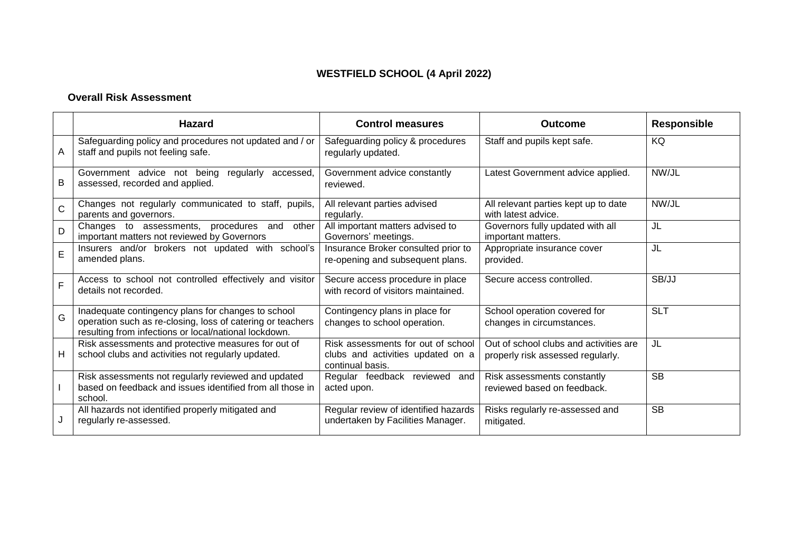# **WESTFIELD SCHOOL (4 April 2022)**

#### **Overall Risk Assessment**

|   | <b>Hazard</b>                                                                                                                                                             | <b>Control measures</b>                                                                     | Outcome                                                                     | <b>Responsible</b> |
|---|---------------------------------------------------------------------------------------------------------------------------------------------------------------------------|---------------------------------------------------------------------------------------------|-----------------------------------------------------------------------------|--------------------|
| A | Safeguarding policy and procedures not updated and / or<br>staff and pupils not feeling safe.                                                                             | Safeguarding policy & procedures<br>regularly updated.                                      | Staff and pupils kept safe.                                                 | KQ                 |
| Β | Government advice not being<br>regularly accessed,<br>assessed, recorded and applied.                                                                                     | Government advice constantly<br>reviewed.                                                   | Latest Government advice applied.                                           | NW/JL              |
| C | Changes not regularly communicated to staff, pupils,<br>parents and governors.                                                                                            | All relevant parties advised<br>regularly.                                                  | All relevant parties kept up to date<br>with latest advice.                 | NW/JL              |
| D | Changes to assessments, procedures and<br>other<br>important matters not reviewed by Governors                                                                            | All important matters advised to<br>Governors' meetings.                                    | Governors fully updated with all<br>important matters.                      | JL                 |
| E | Insurers and/or brokers not updated with school's<br>amended plans.                                                                                                       | Insurance Broker consulted prior to<br>re-opening and subsequent plans.                     | Appropriate insurance cover<br>provided.                                    | JL                 |
| F | Access to school not controlled effectively and visitor<br>details not recorded.                                                                                          | Secure access procedure in place<br>with record of visitors maintained.                     | Secure access controlled.                                                   | SB/JJ              |
| Ġ | Inadequate contingency plans for changes to school<br>operation such as re-closing, loss of catering or teachers<br>resulting from infections or local/national lockdown. | Contingency plans in place for<br>changes to school operation.                              | School operation covered for<br>changes in circumstances.                   | <b>SLT</b>         |
| н | Risk assessments and protective measures for out of<br>school clubs and activities not regularly updated.                                                                 | Risk assessments for out of school<br>clubs and activities updated on a<br>continual basis. | Out of school clubs and activities are<br>properly risk assessed regularly. | JL                 |
|   | Risk assessments not regularly reviewed and updated<br>based on feedback and issues identified from all those in<br>school.                                               | Regular feedback reviewed and<br>acted upon.                                                | Risk assessments constantly<br>reviewed based on feedback.                  | <b>SB</b>          |
|   | All hazards not identified properly mitigated and<br>regularly re-assessed.                                                                                               | Regular review of identified hazards<br>undertaken by Facilities Manager.                   | Risks regularly re-assessed and<br>mitigated.                               | <b>SB</b>          |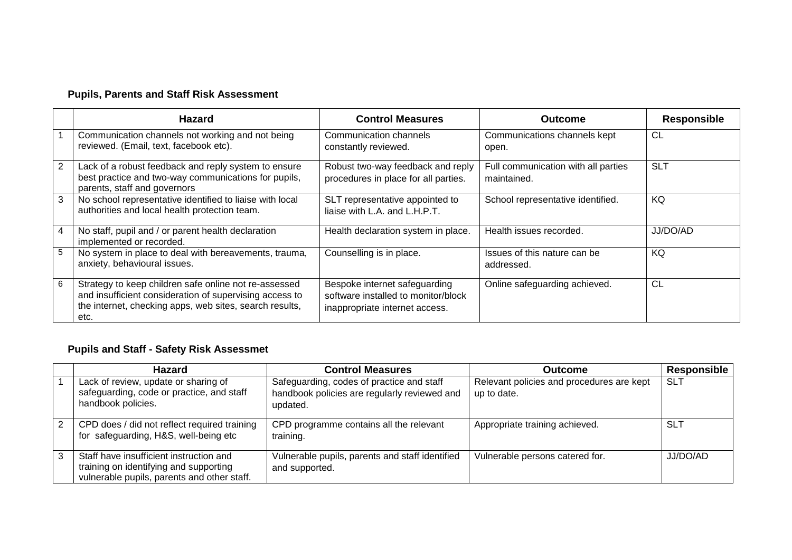# **Pupils, Parents and Staff Risk Assessment**

|   | Hazard                                                                                                                                                                              | <b>Control Measures</b>                                                                                | <b>Outcome</b>                                     | <b>Responsible</b> |
|---|-------------------------------------------------------------------------------------------------------------------------------------------------------------------------------------|--------------------------------------------------------------------------------------------------------|----------------------------------------------------|--------------------|
|   | Communication channels not working and not being<br>reviewed. (Email, text, facebook etc).                                                                                          | Communication channels<br>constantly reviewed.                                                         | Communications channels kept<br>open.              | CL                 |
| 2 | Lack of a robust feedback and reply system to ensure<br>best practice and two-way communications for pupils,<br>parents, staff and governors                                        | Robust two-way feedback and reply<br>procedures in place for all parties.                              | Full communication with all parties<br>maintained. | <b>SLT</b>         |
| 3 | No school representative identified to liaise with local<br>authorities and local health protection team.                                                                           | SLT representative appointed to<br>liaise with L.A. and L.H.P.T.                                       | School representative identified.                  | KQ                 |
| 4 | No staff, pupil and / or parent health declaration<br>implemented or recorded.                                                                                                      | Health declaration system in place.                                                                    | Health issues recorded.                            | JJ/DO/AD           |
| 5 | No system in place to deal with bereavements, trauma,<br>anxiety, behavioural issues.                                                                                               | Counselling is in place.                                                                               | Issues of this nature can be<br>addressed.         | KQ                 |
| 6 | Strategy to keep children safe online not re-assessed<br>and insufficient consideration of supervising access to<br>the internet, checking apps, web sites, search results,<br>etc. | Bespoke internet safeguarding<br>software installed to monitor/block<br>inappropriate internet access. | Online safeguarding achieved.                      | CL                 |

### **Pupils and Staff - Safety Risk Assessmet**

| <b>Hazard</b>                                                                                                                    | <b>Control Measures</b>                                                                               | Outcome                                                  | Responsible |
|----------------------------------------------------------------------------------------------------------------------------------|-------------------------------------------------------------------------------------------------------|----------------------------------------------------------|-------------|
| Lack of review, update or sharing of<br>safeguarding, code or practice, and staff<br>handbook policies.                          | Safeguarding, codes of practice and staff<br>handbook policies are regularly reviewed and<br>updated. | Relevant policies and procedures are kept<br>up to date. | <b>SLT</b>  |
| CPD does / did not reflect required training<br>for safeguarding, H&S, well-being etc                                            | CPD programme contains all the relevant<br>training.                                                  | Appropriate training achieved.                           | <b>SLT</b>  |
| Staff have insufficient instruction and<br>training on identifying and supporting<br>vulnerable pupils, parents and other staff. | Vulnerable pupils, parents and staff identified<br>and supported.                                     | Vulnerable persons catered for.                          | JJ/DO/AD    |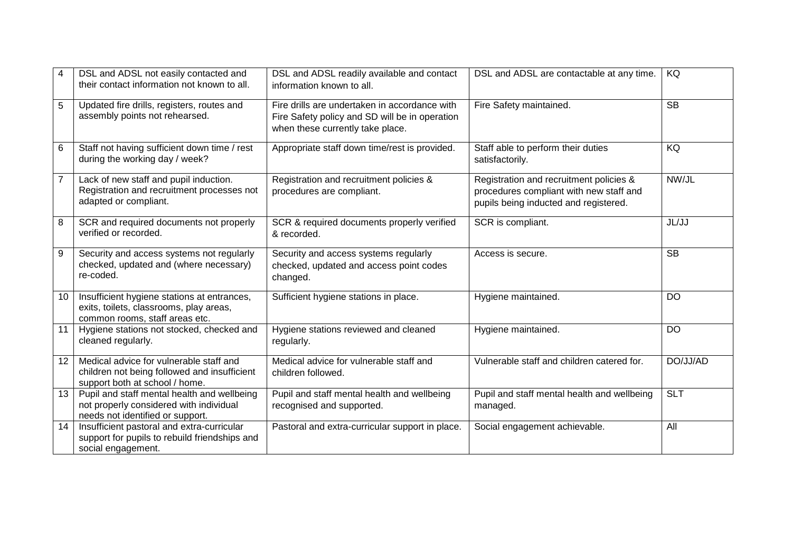| 4              | DSL and ADSL not easily contacted and<br>their contact information not known to all.                                       | DSL and ADSL readily available and contact<br>information known to all.                                                             | DSL and ADSL are contactable at any time.                                                                                   | KQ         |
|----------------|----------------------------------------------------------------------------------------------------------------------------|-------------------------------------------------------------------------------------------------------------------------------------|-----------------------------------------------------------------------------------------------------------------------------|------------|
| 5              | Updated fire drills, registers, routes and<br>assembly points not rehearsed.                                               | Fire drills are undertaken in accordance with<br>Fire Safety policy and SD will be in operation<br>when these currently take place. | Fire Safety maintained.                                                                                                     | <b>SB</b>  |
| 6              | Staff not having sufficient down time / rest<br>during the working day / week?                                             | Appropriate staff down time/rest is provided.                                                                                       | Staff able to perform their duties<br>satisfactorily.                                                                       | KQ         |
| $\overline{7}$ | Lack of new staff and pupil induction.<br>Registration and recruitment processes not<br>adapted or compliant.              | Registration and recruitment policies &<br>procedures are compliant.                                                                | Registration and recruitment policies &<br>procedures compliant with new staff and<br>pupils being inducted and registered. | NW/JL      |
| 8              | SCR and required documents not properly<br>verified or recorded.                                                           | SCR & required documents properly verified<br>& recorded.                                                                           | SCR is compliant.                                                                                                           | JL/JJ      |
| 9              | Security and access systems not regularly<br>checked, updated and (where necessary)<br>re-coded.                           | Security and access systems regularly<br>checked, updated and access point codes<br>changed.                                        | Access is secure.                                                                                                           | <b>SB</b>  |
| 10             | Insufficient hygiene stations at entrances,<br>exits, toilets, classrooms, play areas,<br>common rooms, staff areas etc.   | Sufficient hygiene stations in place.                                                                                               | Hygiene maintained.                                                                                                         | DO         |
| 11             | Hygiene stations not stocked, checked and<br>cleaned regularly.                                                            | Hygiene stations reviewed and cleaned<br>regularly.                                                                                 | Hygiene maintained.                                                                                                         | <b>DO</b>  |
| 12             | Medical advice for vulnerable staff and<br>children not being followed and insufficient<br>support both at school / home.  | Medical advice for vulnerable staff and<br>children followed.                                                                       | Vulnerable staff and children catered for.                                                                                  | DO/JJ/AD   |
| 13             | Pupil and staff mental health and wellbeing<br>not properly considered with individual<br>needs not identified or support. | Pupil and staff mental health and wellbeing<br>recognised and supported.                                                            | Pupil and staff mental health and wellbeing<br>managed.                                                                     | <b>SLT</b> |
| 14             | Insufficient pastoral and extra-curricular<br>support for pupils to rebuild friendships and<br>social engagement.          | Pastoral and extra-curricular support in place.                                                                                     | Social engagement achievable.                                                                                               | All        |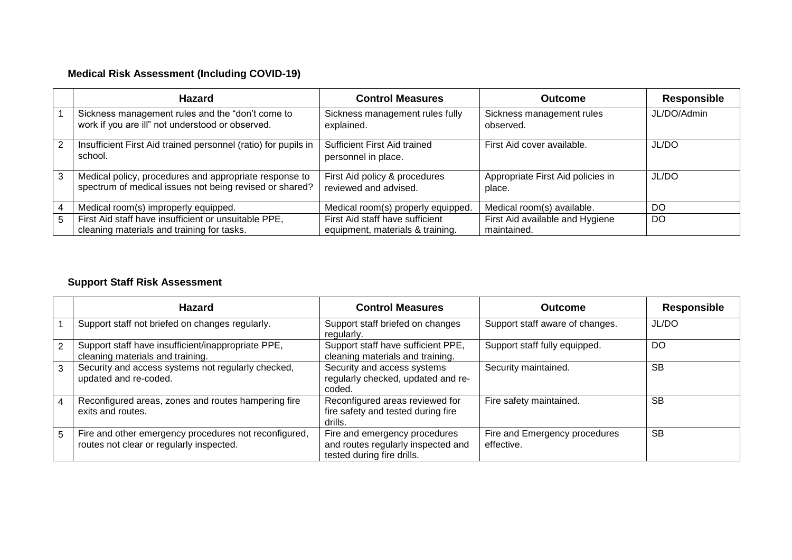# **Medical Risk Assessment (Including COVID-19)**

|   | <b>Hazard</b>                                                                                                     | <b>Control Measures</b>                                             | <b>Outcome</b>                                 | <b>Responsible</b> |
|---|-------------------------------------------------------------------------------------------------------------------|---------------------------------------------------------------------|------------------------------------------------|--------------------|
|   | Sickness management rules and the "don't come to<br>work if you are ill" not understood or observed.              | Sickness management rules fully<br>explained.                       | Sickness management rules<br>observed.         | JL/DO/Admin        |
| 2 | Insufficient First Aid trained personnel (ratio) for pupils in<br>school.                                         | Sufficient First Aid trained<br>personnel in place.                 | First Aid cover available.                     | JL/DO              |
| 3 | Medical policy, procedures and appropriate response to<br>spectrum of medical issues not being revised or shared? | First Aid policy & procedures<br>reviewed and advised.              | Appropriate First Aid policies in<br>place.    | JL/DO              |
| 4 | Medical room(s) improperly equipped.                                                                              | Medical room(s) properly equipped.                                  | Medical room(s) available.                     | DO                 |
| 5 | First Aid staff have insufficient or unsuitable PPE,<br>cleaning materials and training for tasks.                | First Aid staff have sufficient<br>equipment, materials & training. | First Aid available and Hygiene<br>maintained. | DO                 |

### **Support Staff Risk Assessment**

|   | Hazard                                                                                            | <b>Control Measures</b>                                                                           | <b>Outcome</b>                              | <b>Responsible</b> |
|---|---------------------------------------------------------------------------------------------------|---------------------------------------------------------------------------------------------------|---------------------------------------------|--------------------|
|   | Support staff not briefed on changes regularly.                                                   | Support staff briefed on changes<br>regularly.                                                    | Support staff aware of changes.             | JL/DO              |
| 2 | Support staff have insufficient/inappropriate PPE,<br>cleaning materials and training.            | Support staff have sufficient PPE,<br>cleaning materials and training.                            | Support staff fully equipped.               | DO                 |
| 3 | Security and access systems not regularly checked,<br>updated and re-coded.                       | Security and access systems<br>regularly checked, updated and re-<br>coded.                       | Security maintained.                        | <b>SB</b>          |
| 4 | Reconfigured areas, zones and routes hampering fire<br>exits and routes.                          | Reconfigured areas reviewed for<br>fire safety and tested during fire<br>drills.                  | Fire safety maintained.                     | <b>SB</b>          |
| 5 | Fire and other emergency procedures not reconfigured,<br>routes not clear or regularly inspected. | Fire and emergency procedures<br>and routes regularly inspected and<br>tested during fire drills. | Fire and Emergency procedures<br>effective. | <b>SB</b>          |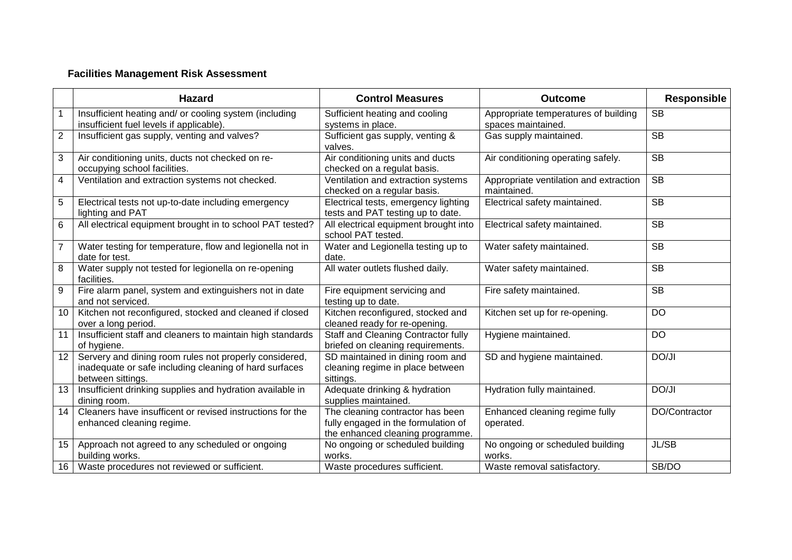### **Facilities Management Risk Assessment**

|                         | <b>Hazard</b>                                                                                                                         | <b>Control Measures</b>                                                                                     | <b>Outcome</b>                                             | <b>Responsible</b> |
|-------------------------|---------------------------------------------------------------------------------------------------------------------------------------|-------------------------------------------------------------------------------------------------------------|------------------------------------------------------------|--------------------|
|                         | Insufficient heating and/ or cooling system (including<br>insufficient fuel levels if applicable).                                    | Sufficient heating and cooling<br>systems in place.                                                         | Appropriate temperatures of building<br>spaces maintained. | <b>SB</b>          |
| $\overline{2}$          | Insufficient gas supply, venting and valves?                                                                                          | Sufficient gas supply, venting &<br>valves.                                                                 | Gas supply maintained.                                     | <b>SB</b>          |
| $\sqrt{3}$              | Air conditioning units, ducts not checked on re-<br>occupying school facilities.                                                      | Air conditioning units and ducts<br>checked on a regulat basis.                                             | Air conditioning operating safely.                         | <b>SB</b>          |
| $\overline{\mathbf{4}}$ | Ventilation and extraction systems not checked.                                                                                       | Ventilation and extraction systems<br>checked on a regular basis.                                           | Appropriate ventilation and extraction<br>maintained.      | <b>SB</b>          |
| 5                       | Electrical tests not up-to-date including emergency<br>lighting and PAT                                                               | Electrical tests, emergency lighting<br>tests and PAT testing up to date.                                   | Electrical safety maintained.                              | <b>SB</b>          |
| $6\phantom{1}$          | All electrical equipment brought in to school PAT tested?                                                                             | All electrical equipment brought into<br>school PAT tested.                                                 | Electrical safety maintained.                              | <b>SB</b>          |
| $\overline{7}$          | Water testing for temperature, flow and legionella not in<br>date for test.                                                           | Water and Legionella testing up to<br>date.                                                                 | Water safety maintained.                                   | <b>SB</b>          |
| 8                       | Water supply not tested for legionella on re-opening<br>facilities.                                                                   | All water outlets flushed daily.                                                                            | Water safety maintained.                                   | <b>SB</b>          |
| $\boldsymbol{9}$        | Fire alarm panel, system and extinguishers not in date<br>and not serviced.                                                           | Fire equipment servicing and<br>testing up to date.                                                         | Fire safety maintained.                                    | <b>SB</b>          |
| 10                      | Kitchen not reconfigured, stocked and cleaned if closed<br>over a long period.                                                        | Kitchen reconfigured, stocked and<br>cleaned ready for re-opening.                                          | Kitchen set up for re-opening.                             | <b>DO</b>          |
| 11                      | Insufficient staff and cleaners to maintain high standards<br>of hygiene.                                                             | Staff and Cleaning Contractor fully<br>briefed on cleaning requirements.                                    | Hygiene maintained.                                        | <b>DO</b>          |
| 12                      | Servery and dining room rules not properly considered,<br>inadequate or safe including cleaning of hard surfaces<br>between sittings. | SD maintained in dining room and<br>cleaning regime in place between<br>sittings.                           | SD and hygiene maintained.                                 | DO/JI              |
| 13                      | Insufficient drinking supplies and hydration available in<br>dining room.                                                             | Adequate drinking & hydration<br>supplies maintained.                                                       | Hydration fully maintained.                                | DO/JI              |
| 14                      | Cleaners have insufficent or revised instructions for the<br>enhanced cleaning regime.                                                | The cleaning contractor has been<br>fully engaged in the formulation of<br>the enhanced cleaning programme. | Enhanced cleaning regime fully<br>operated.                | DO/Contractor      |
| 15                      | Approach not agreed to any scheduled or ongoing<br>building works.                                                                    | No ongoing or scheduled building<br>works.                                                                  | No ongoing or scheduled building<br>works.                 | JL/SB              |
| 16                      | Waste procedures not reviewed or sufficient.                                                                                          | Waste procedures sufficient.                                                                                | Waste removal satisfactory.                                | SB/DO              |